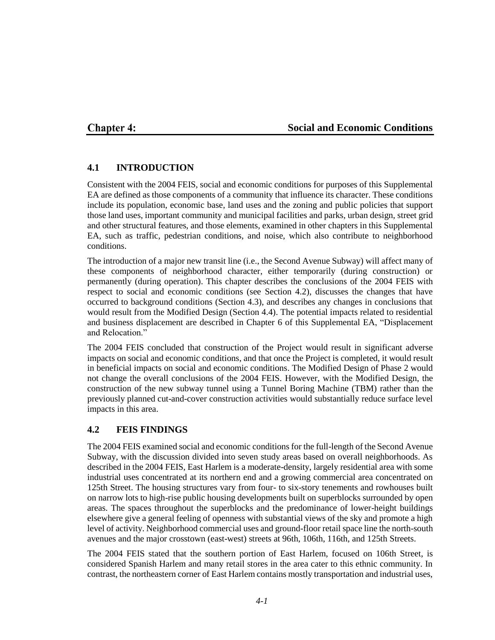## **Chapter 4:**

### **Social and Economic Conditions**

### **4.1 INTRODUCTION**

Consistent with the 2004 FEIS, social and economic conditions for purposes of this Supplemental EA are defined as those components of a community that influence its character. These conditions include its population, economic base, land uses and the zoning and public policies that support those land uses, important community and municipal facilities and parks, urban design, street grid and other structural features, and those elements, examined in other chapters in this Supplemental EA, such as traffic, pedestrian conditions, and noise, which also contribute to neighborhood conditions.

The introduction of a major new transit line (i.e., the Second Avenue Subway) will affect many of these components of neighborhood character, either temporarily (during construction) or permanently (during operation). This chapter describes the conclusions of the 2004 FEIS with respect to social and economic conditions (see Section 4.2), discusses the changes that have occurred to background conditions (Section 4.3), and describes any changes in conclusions that would result from the Modified Design (Section 4.4). The potential impacts related to residential and business displacement are described in Chapter 6 of this Supplemental EA, "Displacement and Relocation."

The 2004 FEIS concluded that construction of the Project would result in significant adverse impacts on social and economic conditions, and that once the Project is completed, it would result in beneficial impacts on social and economic conditions. The Modified Design of Phase 2 would not change the overall conclusions of the 2004 FEIS. However, with the Modified Design, the construction of the new subway tunnel using a Tunnel Boring Machine (TBM) rather than the previously planned cut-and-cover construction activities would substantially reduce surface level impacts in this area.

### **4.2 FEIS FINDINGS**

The 2004 FEIS examined social and economic conditions for the full-length of the Second Avenue Subway, with the discussion divided into seven study areas based on overall neighborhoods. As described in the 2004 FEIS, East Harlem is a moderate-density, largely residential area with some industrial uses concentrated at its northern end and a growing commercial area concentrated on 125th Street. The housing structures vary from four- to six-story tenements and rowhouses built on narrow lots to high-rise public housing developments built on superblocks surrounded by open areas. The spaces throughout the superblocks and the predominance of lower-height buildings elsewhere give a general feeling of openness with substantial views of the sky and promote a high level of activity. Neighborhood commercial uses and ground-floor retail space line the north-south avenues and the major crosstown (east-west) streets at 96th, 106th, 116th, and 125th Streets.

The 2004 FEIS stated that the southern portion of East Harlem, focused on 106th Street, is considered Spanish Harlem and many retail stores in the area cater to this ethnic community. In contrast, the northeastern corner of East Harlem contains mostly transportation and industrial uses,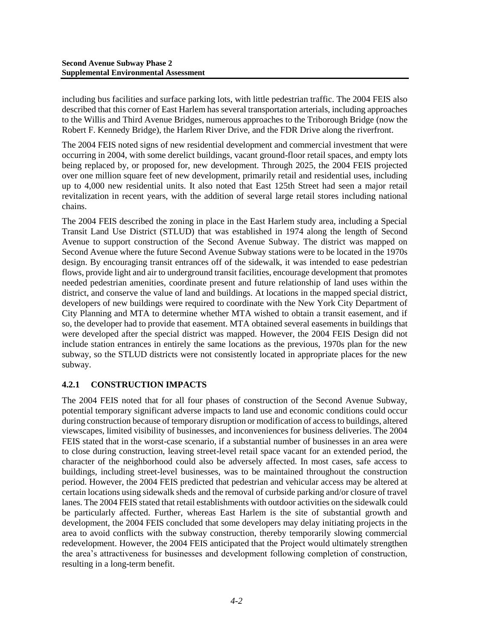including bus facilities and surface parking lots, with little pedestrian traffic. The 2004 FEIS also described that this corner of East Harlem has several transportation arterials, including approaches to the Willis and Third Avenue Bridges, numerous approaches to the Triborough Bridge (now the Robert F. Kennedy Bridge), the Harlem River Drive, and the FDR Drive along the riverfront.

The 2004 FEIS noted signs of new residential development and commercial investment that were occurring in 2004, with some derelict buildings, vacant ground-floor retail spaces, and empty lots being replaced by, or proposed for, new development. Through 2025, the 2004 FEIS projected over one million square feet of new development, primarily retail and residential uses, including up to 4,000 new residential units. It also noted that East 125th Street had seen a major retail revitalization in recent years, with the addition of several large retail stores including national chains.

The 2004 FEIS described the zoning in place in the East Harlem study area, including a Special Transit Land Use District (STLUD) that was established in 1974 along the length of Second Avenue to support construction of the Second Avenue Subway. The district was mapped on Second Avenue where the future Second Avenue Subway stations were to be located in the 1970s design. By encouraging transit entrances off of the sidewalk, it was intended to ease pedestrian flows, provide light and air to underground transit facilities, encourage development that promotes needed pedestrian amenities, coordinate present and future relationship of land uses within the district, and conserve the value of land and buildings. At locations in the mapped special district, developers of new buildings were required to coordinate with the New York City Department of City Planning and MTA to determine whether MTA wished to obtain a transit easement, and if so, the developer had to provide that easement. MTA obtained several easements in buildings that were developed after the special district was mapped. However, the 2004 FEIS Design did not include station entrances in entirely the same locations as the previous, 1970s plan for the new subway, so the STLUD districts were not consistently located in appropriate places for the new subway.

### **4.2.1 CONSTRUCTION IMPACTS**

The 2004 FEIS noted that for all four phases of construction of the Second Avenue Subway, potential temporary significant adverse impacts to land use and economic conditions could occur during construction because of temporary disruption or modification of access to buildings, altered viewscapes, limited visibility of businesses, and inconveniences for business deliveries. The 2004 FEIS stated that in the worst-case scenario, if a substantial number of businesses in an area were to close during construction, leaving street-level retail space vacant for an extended period, the character of the neighborhood could also be adversely affected. In most cases, safe access to buildings, including street-level businesses, was to be maintained throughout the construction period. However, the 2004 FEIS predicted that pedestrian and vehicular access may be altered at certain locations using sidewalk sheds and the removal of curbside parking and/or closure of travel lanes. The 2004 FEIS stated that retail establishments with outdoor activities on the sidewalk could be particularly affected. Further, whereas East Harlem is the site of substantial growth and development, the 2004 FEIS concluded that some developers may delay initiating projects in the area to avoid conflicts with the subway construction, thereby temporarily slowing commercial redevelopment. However, the 2004 FEIS anticipated that the Project would ultimately strengthen the area's attractiveness for businesses and development following completion of construction, resulting in a long-term benefit.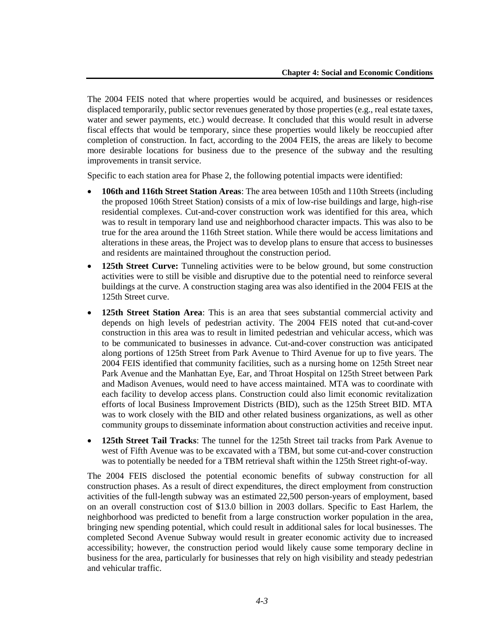The 2004 FEIS noted that where properties would be acquired, and businesses or residences displaced temporarily, public sector revenues generated by those properties (e.g., real estate taxes, water and sewer payments, etc.) would decrease. It concluded that this would result in adverse fiscal effects that would be temporary, since these properties would likely be reoccupied after completion of construction. In fact, according to the 2004 FEIS, the areas are likely to become more desirable locations for business due to the presence of the subway and the resulting improvements in transit service.

Specific to each station area for Phase 2, the following potential impacts were identified:

- **106th and 116th Street Station Areas**: The area between 105th and 110th Streets (including the proposed 106th Street Station) consists of a mix of low-rise buildings and large, high-rise residential complexes. Cut-and-cover construction work was identified for this area, which was to result in temporary land use and neighborhood character impacts. This was also to be true for the area around the 116th Street station. While there would be access limitations and alterations in these areas, the Project was to develop plans to ensure that access to businesses and residents are maintained throughout the construction period.
- **125th Street Curve:** Tunneling activities were to be below ground, but some construction activities were to still be visible and disruptive due to the potential need to reinforce several buildings at the curve. A construction staging area was also identified in the 2004 FEIS at the 125th Street curve.
- **125th Street Station Area**: This is an area that sees substantial commercial activity and depends on high levels of pedestrian activity. The 2004 FEIS noted that cut-and-cover construction in this area was to result in limited pedestrian and vehicular access, which was to be communicated to businesses in advance. Cut-and-cover construction was anticipated along portions of 125th Street from Park Avenue to Third Avenue for up to five years. The 2004 FEIS identified that community facilities, such as a nursing home on 125th Street near Park Avenue and the Manhattan Eye, Ear, and Throat Hospital on 125th Street between Park and Madison Avenues, would need to have access maintained. MTA was to coordinate with each facility to develop access plans. Construction could also limit economic revitalization efforts of local Business Improvement Districts (BID), such as the 125th Street BID. MTA was to work closely with the BID and other related business organizations, as well as other community groups to disseminate information about construction activities and receive input.
- **125th Street Tail Tracks**: The tunnel for the 125th Street tail tracks from Park Avenue to west of Fifth Avenue was to be excavated with a TBM, but some cut-and-cover construction was to potentially be needed for a TBM retrieval shaft within the 125th Street right-of-way.

The 2004 FEIS disclosed the potential economic benefits of subway construction for all construction phases. As a result of direct expenditures, the direct employment from construction activities of the full-length subway was an estimated 22,500 person-years of employment, based on an overall construction cost of \$13.0 billion in 2003 dollars. Specific to East Harlem, the neighborhood was predicted to benefit from a large construction worker population in the area, bringing new spending potential, which could result in additional sales for local businesses. The completed Second Avenue Subway would result in greater economic activity due to increased accessibility; however, the construction period would likely cause some temporary decline in business for the area, particularly for businesses that rely on high visibility and steady pedestrian and vehicular traffic.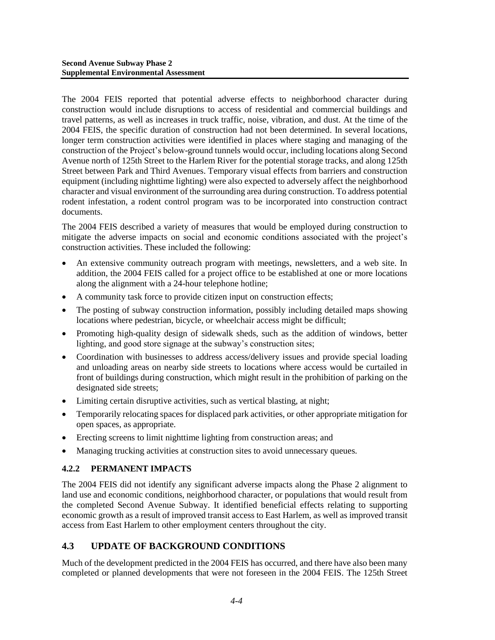The 2004 FEIS reported that potential adverse effects to neighborhood character during construction would include disruptions to access of residential and commercial buildings and travel patterns, as well as increases in truck traffic, noise, vibration, and dust. At the time of the 2004 FEIS, the specific duration of construction had not been determined. In several locations, longer term construction activities were identified in places where staging and managing of the construction of the Project's below-ground tunnels would occur, including locations along Second Avenue north of 125th Street to the Harlem River for the potential storage tracks, and along 125th Street between Park and Third Avenues. Temporary visual effects from barriers and construction equipment (including nighttime lighting) were also expected to adversely affect the neighborhood character and visual environment of the surrounding area during construction. To address potential rodent infestation, a rodent control program was to be incorporated into construction contract documents.

The 2004 FEIS described a variety of measures that would be employed during construction to mitigate the adverse impacts on social and economic conditions associated with the project's construction activities. These included the following:

- An extensive community outreach program with meetings, newsletters, and a web site. In addition, the 2004 FEIS called for a project office to be established at one or more locations along the alignment with a 24-hour telephone hotline;
- A community task force to provide citizen input on construction effects;
- The posting of subway construction information, possibly including detailed maps showing locations where pedestrian, bicycle, or wheelchair access might be difficult;
- Promoting high-quality design of sidewalk sheds, such as the addition of windows, better lighting, and good store signage at the subway's construction sites;
- Coordination with businesses to address access/delivery issues and provide special loading and unloading areas on nearby side streets to locations where access would be curtailed in front of buildings during construction, which might result in the prohibition of parking on the designated side streets;
- Limiting certain disruptive activities, such as vertical blasting, at night;
- Temporarily relocating spaces for displaced park activities, or other appropriate mitigation for open spaces, as appropriate.
- Erecting screens to limit nighttime lighting from construction areas; and
- Managing trucking activities at construction sites to avoid unnecessary queues.

#### **4.2.2 PERMANENT IMPACTS**

The 2004 FEIS did not identify any significant adverse impacts along the Phase 2 alignment to land use and economic conditions, neighborhood character, or populations that would result from the completed Second Avenue Subway. It identified beneficial effects relating to supporting economic growth as a result of improved transit access to East Harlem, as well as improved transit access from East Harlem to other employment centers throughout the city.

### **4.3 UPDATE OF BACKGROUND CONDITIONS**

Much of the development predicted in the 2004 FEIS has occurred, and there have also been many completed or planned developments that were not foreseen in the 2004 FEIS. The 125th Street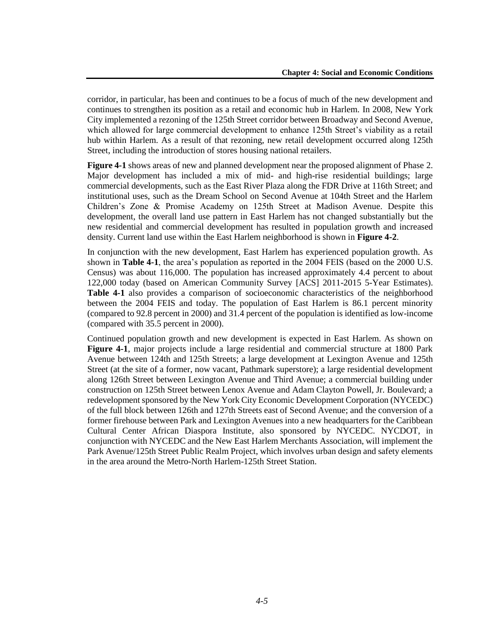corridor, in particular, has been and continues to be a focus of much of the new development and continues to strengthen its position as a retail and economic hub in Harlem. In 2008, New York City implemented a rezoning of the 125th Street corridor between Broadway and Second Avenue, which allowed for large commercial development to enhance 125th Street's viability as a retail hub within Harlem. As a result of that rezoning, new retail development occurred along 125th Street, including the introduction of stores housing national retailers.

**Figure 4-1** shows areas of new and planned development near the proposed alignment of Phase 2. Major development has included a mix of mid- and high-rise residential buildings; large commercial developments, such as the East River Plaza along the FDR Drive at 116th Street; and institutional uses, such as the Dream School on Second Avenue at 104th Street and the Harlem Children's Zone & Promise Academy on 125th Street at Madison Avenue. Despite this development, the overall land use pattern in East Harlem has not changed substantially but the new residential and commercial development has resulted in population growth and increased density. Current land use within the East Harlem neighborhood is shown in **Figure 4-2**.

In conjunction with the new development, East Harlem has experienced population growth. As shown in **Table 4-1**, the area's population as reported in the 2004 FEIS (based on the 2000 U.S. Census) was about 116,000. The population has increased approximately 4.4 percent to about 122,000 today (based on American Community Survey [ACS] 2011-2015 5-Year Estimates). **Table 4-1** also provides a comparison of socioeconomic characteristics of the neighborhood between the 2004 FEIS and today. The population of East Harlem is 86.1 percent minority (compared to 92.8 percent in 2000) and 31.4 percent of the population is identified as low-income (compared with 35.5 percent in 2000).

Continued population growth and new development is expected in East Harlem. As shown on **Figure 4-1**, major projects include a large residential and commercial structure at 1800 Park Avenue between 124th and 125th Streets; a large development at Lexington Avenue and 125th Street (at the site of a former, now vacant, Pathmark superstore); a large residential development along 126th Street between Lexington Avenue and Third Avenue; a commercial building under construction on 125th Street between Lenox Avenue and Adam Clayton Powell, Jr. Boulevard; a redevelopment sponsored by the New York City Economic Development Corporation (NYCEDC) of the full block between 126th and 127th Streets east of Second Avenue; and the conversion of a former firehouse between Park and Lexington Avenues into a new headquarters for the Caribbean Cultural Center African Diaspora Institute, also sponsored by NYCEDC. NYCDOT, in conjunction with NYCEDC and the New East Harlem Merchants Association, will implement the Park Avenue/125th Street Public Realm Project, which involves urban design and safety elements in the area around the Metro-North Harlem-125th Street Station.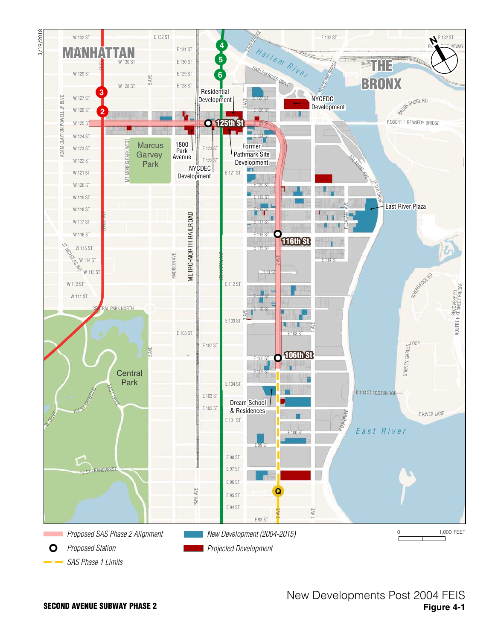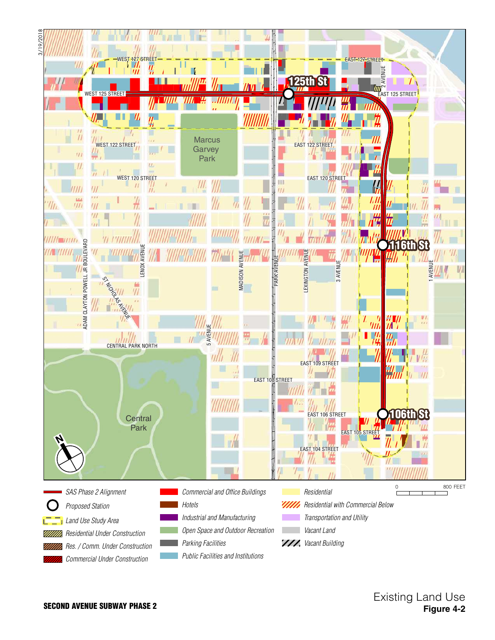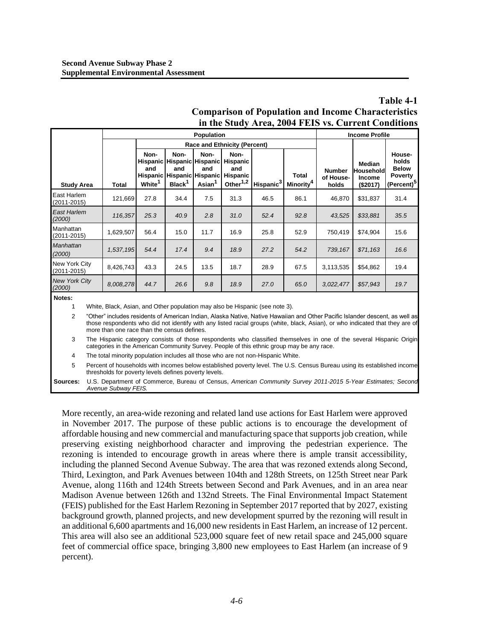| Table 4-1                                                  |
|------------------------------------------------------------|
| <b>Comparison of Population and Income Characteristics</b> |
| in the Study Area, 2004 FEIS vs. Current Conditions        |

|                                |           |                                     |                                                                                                      | <b>Income Profile</b>             |                                                                    |                       |                                       |                                     |                                                  |                                                                             |
|--------------------------------|-----------|-------------------------------------|------------------------------------------------------------------------------------------------------|-----------------------------------|--------------------------------------------------------------------|-----------------------|---------------------------------------|-------------------------------------|--------------------------------------------------|-----------------------------------------------------------------------------|
|                                |           | <b>Race and Ethnicity (Percent)</b> |                                                                                                      |                                   |                                                                    |                       |                                       |                                     |                                                  |                                                                             |
| <b>Study Area</b>              | Total     | Non-<br>and<br>White <sup>1</sup>   | Non-<br><b>Hispanic Hispanic Hispanic</b><br>and<br>Hispanic Hispanic Hispanic<br>Black <sup>1</sup> | Non-<br>and<br>Asian <sup>1</sup> | Non-<br><b>Hispanic</b><br>and<br>Hispanic<br>Other <sup>1,2</sup> | Hispanic <sup>3</sup> | <b>Total</b><br>Minority <sup>4</sup> | <b>Number</b><br>of House-<br>holds | Median<br>Household<br><b>Income</b><br>(\$2017) | House-<br>holds<br><b>Below</b><br><b>Poverty</b><br>(Percent) <sup>5</sup> |
| East Harlem<br>(2011-2015)     | 121,669   | 27.8                                | 34.4                                                                                                 | 7.5                               | 31.3                                                               | 46.5                  | 86.1                                  | 46,870                              | \$31,837                                         | 31.4                                                                        |
| East Harlem<br>(2000)          | 116,357   | 25.3                                | 40.9                                                                                                 | 2.8                               | 31.0                                                               | 52.4                  | 92.8                                  | 43,525                              | \$33,881                                         | 35.5                                                                        |
| Manhattan<br>(2011-2015)       | 1,629,507 | 56.4                                | 15.0                                                                                                 | 11.7                              | 16.9                                                               | 25.8                  | 52.9                                  | 750,419                             | \$74,904                                         | 15.6                                                                        |
| <b>Manhattan</b><br>(2000)     | 1,537,195 | 54.4                                | 17.4                                                                                                 | 9.4                               | 18.9                                                               | 27.2                  | 54.2                                  | 739.167                             | \$71,163                                         | 16.6                                                                        |
| New York City<br>(2011-2015)   | 8,426,743 | 43.3                                | 24.5                                                                                                 | 13.5                              | 18.7                                                               | 28.9                  | 67.5                                  | 3,113,535                           | \$54,862                                         | 19.4                                                                        |
| <b>New York City</b><br>(2000) | 8,008,278 | 44.7                                | 26.6                                                                                                 | 9.8                               | 18.9                                                               | 27.0                  | 65.0                                  | 3,022,477                           | \$57,943                                         | 19.7                                                                        |

**Notes:**

White, Black, Asian, and Other population may also be Hispanic (see note 3).

2 "Other" includes residents of American Indian, Alaska Native, Native Hawaiian and Other Pacific Islander descent, as well as those respondents who did not identify with any listed racial groups (white, black, Asian), or who indicated that they are of more than one race than the census defines.

3 The Hispanic category consists of those respondents who classified themselves in one of the several Hispanic Origin categories in the American Community Survey. People of this ethnic group may be any race.

4 The total minority population includes all those who are not non-Hispanic White.

5 Percent of households with incomes below established poverty level. The U.S. Census Bureau using its established income thresholds for poverty levels defines poverty levels.

**Sources:** U.S. Department of Commerce, Bureau of Census, *American Community Survey 2011-2015 5-Year Estimates; Second Avenue Subway FEIS.*

More recently, an area-wide rezoning and related land use actions for East Harlem were approved in November 2017. The purpose of these public actions is to encourage the development of affordable housing and new commercial and manufacturing space that supports job creation, while preserving existing neighborhood character and improving the pedestrian experience. The rezoning is intended to encourage growth in areas where there is ample transit accessibility, including the planned Second Avenue Subway. The area that was rezoned extends along Second, Third, Lexington, and Park Avenues between 104th and 128th Streets, on 125th Street near Park Avenue, along 116th and 124th Streets between Second and Park Avenues, and in an area near Madison Avenue between 126th and 132nd Streets. The Final Environmental Impact Statement (FEIS) published for the East Harlem Rezoning in September 2017 reported that by 2027, existing background growth, planned projects, and new development spurred by the rezoning will result in an additional 6,600 apartments and 16,000 new residents in East Harlem, an increase of 12 percent. This area will also see an additional 523,000 square feet of new retail space and 245,000 square feet of commercial office space, bringing 3,800 new employees to East Harlem (an increase of 9 percent).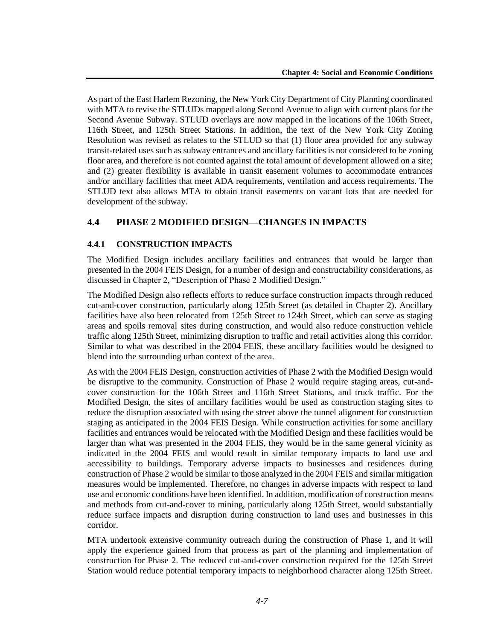As part of the East Harlem Rezoning, the New York City Department of City Planning coordinated with MTA to revise the STLUDs mapped along Second Avenue to align with current plans for the Second Avenue Subway. STLUD overlays are now mapped in the locations of the 106th Street, 116th Street, and 125th Street Stations. In addition, the text of the New York City Zoning Resolution was revised as relates to the STLUD so that (1) floor area provided for any subway transit-related uses such as subway entrances and ancillary facilities is not considered to be zoning floor area, and therefore is not counted against the total amount of development allowed on a site; and (2) greater flexibility is available in transit easement volumes to accommodate entrances and/or ancillary facilities that meet ADA requirements, ventilation and access requirements. The STLUD text also allows MTA to obtain transit easements on vacant lots that are needed for development of the subway.

## **4.4 PHASE 2 MODIFIED DESIGN—CHANGES IN IMPACTS**

### **4.4.1 CONSTRUCTION IMPACTS**

The Modified Design includes ancillary facilities and entrances that would be larger than presented in the 2004 FEIS Design, for a number of design and constructability considerations, as discussed in Chapter 2, "Description of Phase 2 Modified Design."

The Modified Design also reflects efforts to reduce surface construction impacts through reduced cut-and-cover construction, particularly along 125th Street (as detailed in Chapter 2). Ancillary facilities have also been relocated from 125th Street to 124th Street, which can serve as staging areas and spoils removal sites during construction, and would also reduce construction vehicle traffic along 125th Street, minimizing disruption to traffic and retail activities along this corridor. Similar to what was described in the 2004 FEIS, these ancillary facilities would be designed to blend into the surrounding urban context of the area.

As with the 2004 FEIS Design, construction activities of Phase 2 with the Modified Design would be disruptive to the community. Construction of Phase 2 would require staging areas, cut-andcover construction for the 106th Street and 116th Street Stations, and truck traffic. For the Modified Design, the sites of ancillary facilities would be used as construction staging sites to reduce the disruption associated with using the street above the tunnel alignment for construction staging as anticipated in the 2004 FEIS Design. While construction activities for some ancillary facilities and entrances would be relocated with the Modified Design and these facilities would be larger than what was presented in the 2004 FEIS, they would be in the same general vicinity as indicated in the 2004 FEIS and would result in similar temporary impacts to land use and accessibility to buildings. Temporary adverse impacts to businesses and residences during construction of Phase 2 would be similar to those analyzed in the 2004 FEIS and similar mitigation measures would be implemented. Therefore, no changes in adverse impacts with respect to land use and economic conditions have been identified. In addition, modification of construction means and methods from cut-and-cover to mining, particularly along 125th Street, would substantially reduce surface impacts and disruption during construction to land uses and businesses in this corridor.

MTA undertook extensive community outreach during the construction of Phase 1, and it will apply the experience gained from that process as part of the planning and implementation of construction for Phase 2. The reduced cut-and-cover construction required for the 125th Street Station would reduce potential temporary impacts to neighborhood character along 125th Street.